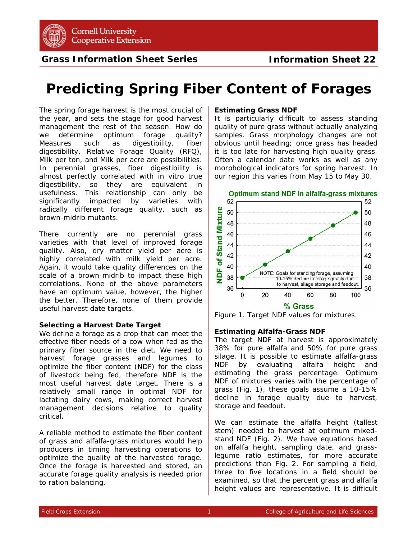

**Grass Information Sheet Series**

# **Predicting Spring Fiber Content of Forages**

The spring forage harvest is the most crucial of the year, and sets the stage for good harvest management the rest of the season. How do we determine optimum forage quality? Measures such as digestibility, fiber digestibility, Relative Forage Quality (RFQ), Milk per ton, and Milk per acre are possibilities. In perennial grasses, fiber digestibility is almost perfectly correlated with in vitro true digestibility, so they are equivalent in usefulness. This relationship can only be significantly impacted by varieties with radically different forage quality, such as brown-midrib mutants.

There currently are no perennial grass varieties with that level of improved forage quality. Also, dry matter yield per acre is highly correlated with milk yield per acre. Again, it would take quality differences on the scale of a brown-midrib to impact these high correlations. None of the above parameters have an optimum value, however, the higher the better. Therefore, none of them provide useful harvest date targets.

## **Selecting a Harvest Date Target**

We define a forage as a crop that can meet the effective fiber needs of a cow when fed as the primary fiber source in the diet. We need to harvest forage grasses and legumes to optimize the fiber content (NDF) for the class of livestock being fed, therefore NDF is the most useful harvest date target. There is a relatively small range in optimal NDF for lactating dairy cows, making correct harvest management decisions relative to quality critical.

A reliable method to estimate the fiber content of grass and alfalfa-grass mixtures would help producers in timing harvesting operations to optimize the quality of the harvested forage. Once the forage is harvested and stored, an accurate forage quality analysis is needed prior to ration balancing.

### **Estimating Grass NDF**

It is particularly difficult to assess standing quality of pure grass without actually analyzing samples. Grass morphology changes are not obvious until heading; once grass has headed it is too late for harvesting high quality grass. Often a calendar date works as well as any morphological indicators for spring harvest. In our region this varies from May 15 to May 30.



Figure 1. Target NDF values for mixtures.

# **Estimating Alfalfa-Grass NDF**

The target NDF at harvest is approximately 38% for pure alfalfa and 50% for pure grass silage. It is possible to estimate alfalfa-grass NDF by evaluating alfalfa height and estimating the grass percentage. Optimum NDF of mixtures varies with the percentage of grass (Fig. 1), these goals assume a 10-15% decline in forage quality due to harvest, storage and feedout.

We can estimate the alfalfa height (tallest stem) needed to harvest at optimum mixedstand NDF (Fig. 2). We have equations based on alfalfa height, sampling date, and grasslegume ratio estimates, for more accurate predictions than Fig. 2. For sampling a field, three to five locations in a field should be examined, so that the percent grass and alfalfa height values are representative. It is difficult